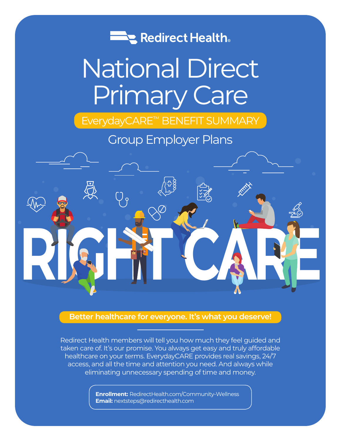

# National Direct Primary Care

# EverydayCARE™ BENEFIT SUMMARY

# Group Employer Plans



# **Better healthcare for everyone. It's what you deserve!**

Redirect Health members will tell you how much they feel guided and taken care of. It's our promise. You always get easy and truly affordable healthcare on your terms. EverydayCARE provides real savings, 24/7 access, and all the time and attention you need. And always while eliminating unnecessary spending of time and money.

> **Enrollment:** RedirectHealth.com/Community-Wellness **Email:** nextsteps@redirecthealth.com